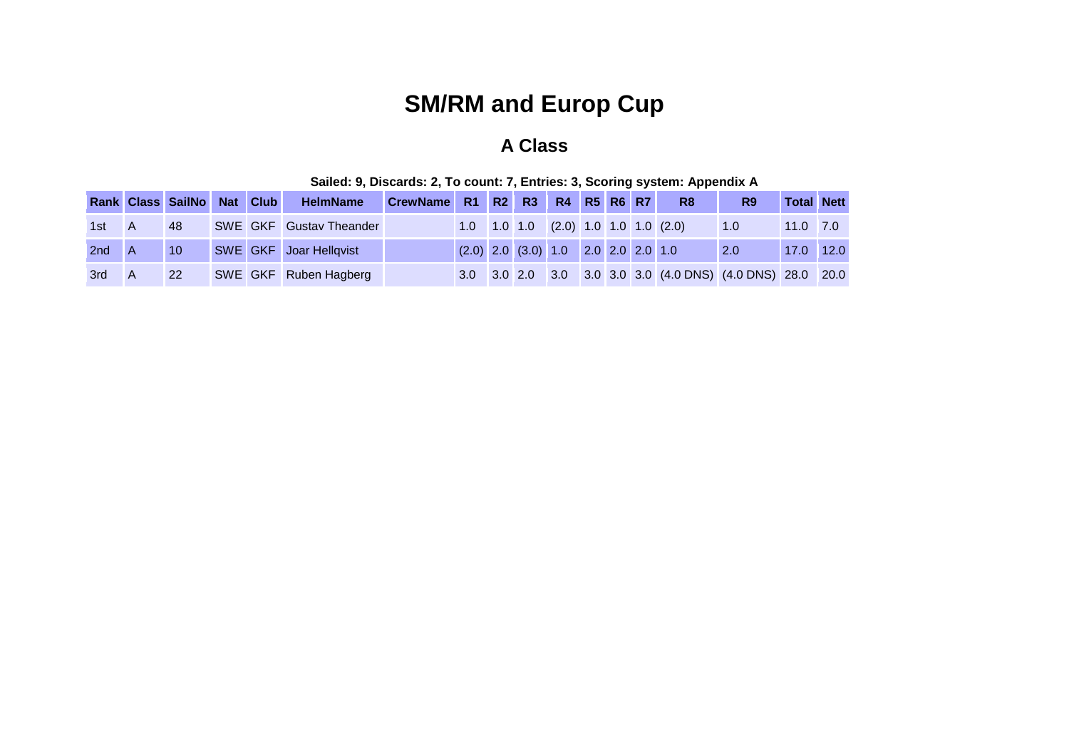## **SM/RM and Europ Cup**

## **A Class**

|       | Rank Class SailNo Nat Club |  | HelmName                      | CrewName R1 R2 R3 R4 R5 R6 R7 |  |                                         |  |  | R <sub>8</sub>                                            | R <sub>9</sub>     | <b>Total Nett</b> |      |
|-------|----------------------------|--|-------------------------------|-------------------------------|--|-----------------------------------------|--|--|-----------------------------------------------------------|--------------------|-------------------|------|
| 1st A | 48                         |  | SWE GKF Gustav Theander       |                               |  |                                         |  |  | $1.0$ $1.0$ $1.0$ $(2.0)$ $1.0$ $1.0$ $1.0$ $(2.0)$       | $\blacksquare$ 1.0 | $11.0$ 7.0        |      |
| 2nd   | 10                         |  | <b>SWE GKF</b> Joar Hellqvist |                               |  | $(2.0)$ 2.0 $(3.0)$ 1.0 2.0 2.0 2.0 1.0 |  |  |                                                           | 2.0                | 17.0              | 12.0 |
| 3rd   | <b>22</b>                  |  | SWE GKF Ruben Hagberg         |                               |  |                                         |  |  | 3.0 3.0 2.0 3.0 3.0 3.0 3.0 (4.0 DNS) (4.0 DNS) 28.0 20.0 |                    |                   |      |

|  | Sailed: 9, Discards: 2, To count: 7, Entries: 3, Scoring system: Appendix A |  |
|--|-----------------------------------------------------------------------------|--|
|--|-----------------------------------------------------------------------------|--|